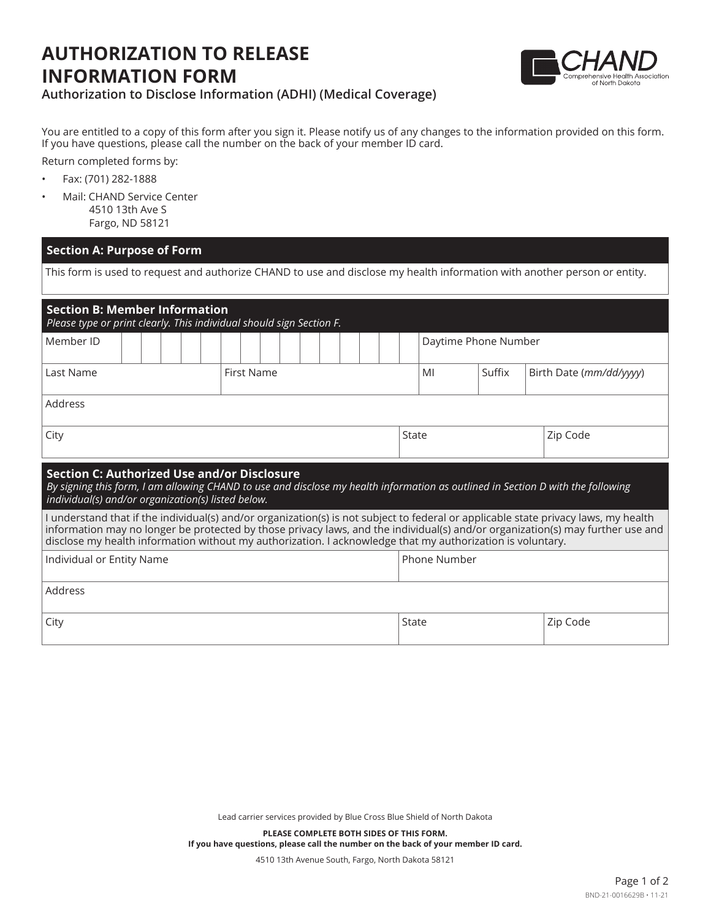## **AUTHORIZATION TO RELEASE INFORMATION FORM**



## **Authorization to Disclose Information (ADHI) (Medical Coverage)**

You are entitled to a copy of this form after you sign it. Please notify us of any changes to the information provided on this form. If you have questions, please call the number on the back of your member ID card.

Return completed forms by:

- Fax: (701) 282-1888
- Mail: CHAND Service Center 4510 13th Ave S Fargo, ND 58121

## **Section A: Purpose of Form**

This form is used to request and authorize CHAND to use and disclose my health information with another person or entity.

| <b>Section B: Member Information</b><br>Please type or print clearly. This individual should sign Section F.                                                                                                                                                                                                                                                                        |            |  |                      |        |                         |  |
|-------------------------------------------------------------------------------------------------------------------------------------------------------------------------------------------------------------------------------------------------------------------------------------------------------------------------------------------------------------------------------------|------------|--|----------------------|--------|-------------------------|--|
| Member ID                                                                                                                                                                                                                                                                                                                                                                           |            |  | Daytime Phone Number |        |                         |  |
| Last Name                                                                                                                                                                                                                                                                                                                                                                           | First Name |  | MI                   | Suffix | Birth Date (mm/dd/yyyy) |  |
| Address                                                                                                                                                                                                                                                                                                                                                                             |            |  |                      |        |                         |  |
| City                                                                                                                                                                                                                                                                                                                                                                                |            |  | State                |        | Zip Code                |  |
| <b>Section C: Authorized Use and/or Disclosure</b><br>By signing this form, I am allowing CHAND to use and disclose my health information as outlined in Section D with the following<br>individual(s) and/or organization(s) listed below.                                                                                                                                         |            |  |                      |        |                         |  |
| I understand that if the individual(s) and/or organization(s) is not subject to federal or applicable state privacy laws, my health<br>information may no longer be protected by those privacy laws, and the individual(s) and/or organization(s) may further use and<br>disclose my health information without my authorization. I acknowledge that my authorization is voluntary. |            |  |                      |        |                         |  |
| Individual or Entity Name                                                                                                                                                                                                                                                                                                                                                           |            |  | Phone Number         |        |                         |  |
| Address                                                                                                                                                                                                                                                                                                                                                                             |            |  |                      |        |                         |  |
| City                                                                                                                                                                                                                                                                                                                                                                                |            |  | State<br>Zip Code    |        |                         |  |

Lead carrier services provided by Blue Cross Blue Shield of North Dakota

**PLEASE COMPLETE BOTH SIDES OF THIS FORM. If you have questions, please call the number on the back of your member ID card.**

4510 13th Avenue South, Fargo, North Dakota 58121